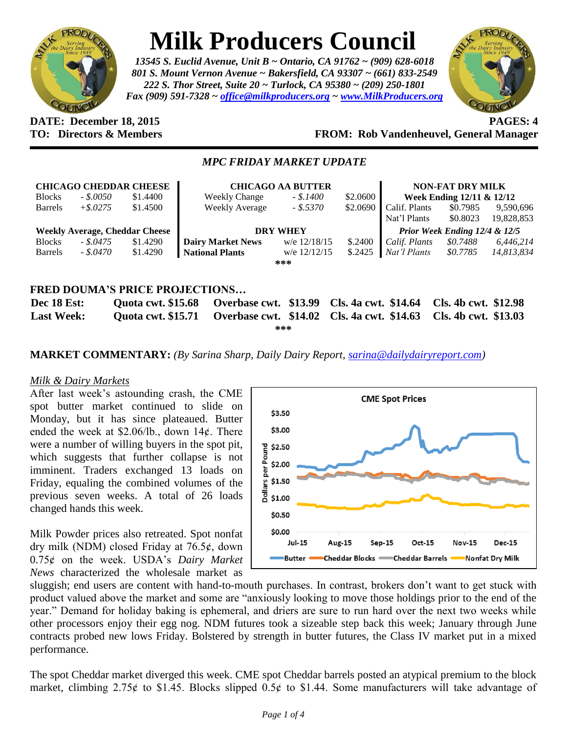

# **Milk Producers Council**

*13545 S. Euclid Avenue, Unit B ~ Ontario, CA 91762 ~ (909) 628-6018 801 S. Mount Vernon Avenue ~ Bakersfield, CA 93307 ~ (661) 833-2549 222 S. Thor Street, Suite 20 ~ Turlock, CA 95380 ~ (209) 250-1801 Fax (909) 591-7328 ~ [office@milkproducers.org](mailto:office@milkproducers.org) ~ [www.MilkProducers.org](http://www.milkproducers.org/)*



#### **DATE: December 18, 2015 PAGES: 4 TO: Directors & Members FROM: Rob Vandenheuvel, General Manager**

#### *MPC FRIDAY MARKET UPDATE*

|                   |             | <b>CHICAGO CHEDDAR CHEESE</b>         | <b>CHICAGO AA BUTTER</b>              |                |                             | <b>NON-FAT DRY MILK</b>       |                      |            |
|-------------------|-------------|---------------------------------------|---------------------------------------|----------------|-----------------------------|-------------------------------|----------------------|------------|
| <b>Blocks</b>     | $-.50050$   | \$1.4400                              | <b>Weekly Change</b>                  | $-.$ \$.1400   | \$2.0600                    | Week Ending $12/11 \& 12/12$  |                      |            |
| <b>Barrels</b>    | $+$ \$.0275 | \$1.4500                              | <b>Weekly Average</b>                 | - \$.5370      | \$2.0690                    | Calif. Plants                 | \$0.7985             | 9,590,696  |
|                   |             |                                       |                                       |                |                             | Nat'l Plants                  | \$0.8023             | 19,828,853 |
|                   |             | <b>Weekly Average, Cheddar Cheese</b> | <b>DRY WHEY</b>                       |                |                             | Prior Week Ending 12/4 & 12/5 |                      |            |
| <b>Blocks</b>     | $-.5.0475$  | \$1.4290                              | <b>Dairy Market News</b>              | w/e 12/18/15   | \$.2400                     | Calif. Plants                 | \$0.7488             | 6,446,214  |
| <b>Barrels</b>    | - \$.0470   | \$1.4290                              | <b>National Plants</b>                | w/e $12/12/15$ | \$.2425                     | Nat'l Plants                  | \$0.7785             | 14,813,834 |
|                   |             |                                       |                                       | ***            |                             |                               |                      |            |
|                   |             |                                       |                                       |                |                             |                               |                      |            |
|                   |             |                                       | <b>FRED DOUMA'S PRICE PROJECTIONS</b> |                |                             |                               |                      |            |
| Dec 18 Est:       |             | <b>Quota cwt. \$15.68</b>             | Overbase cwt. \$13.99                 |                | <b>Cls. 4a cwt. \$14.64</b> |                               | Cls. 4b cwt. \$12.98 |            |
| <b>Last Week:</b> |             | <b>Ouota cwt. \$15.71</b>             | Overbase cwt. \$14.02                 |                | Cls. 4a cwt. \$14.63        |                               | Cls. 4b cwt. \$13.03 |            |

**\*\*\***

#### **MARKET COMMENTARY:** *(By Sarina Sharp, Daily Dairy Report, [sarina@dailydairyreport.com\)](mailto:sarina@dailydairyreport.com)*

#### *Milk & Dairy Markets*

After last week's astounding crash, the CME spot butter market continued to slide on Monday, but it has since plateaued. Butter ended the week at  $$2.06/lb$ ., down  $14¢$ . There were a number of willing buyers in the spot pit, which suggests that further collapse is not imminent. Traders exchanged 13 loads on Friday, equaling the combined volumes of the previous seven weeks. A total of 26 loads changed hands this week.

Milk Powder prices also retreated. Spot nonfat dry milk (NDM) closed Friday at  $76.5¢$ , down 0.75ȼ on the week. USDA's *Dairy Market News* characterized the wholesale market as



sluggish; end users are content with hand-to-mouth purchases. In contrast, brokers don't want to get stuck with product valued above the market and some are "anxiously looking to move those holdings prior to the end of the year." Demand for holiday baking is ephemeral, and driers are sure to run hard over the next two weeks while other processors enjoy their egg nog. NDM futures took a sizeable step back this week; January through June contracts probed new lows Friday. Bolstered by strength in butter futures, the Class IV market put in a mixed performance.

The spot Cheddar market diverged this week. CME spot Cheddar barrels posted an atypical premium to the block market, climbing 2.75 $\phi$  to \$1.45. Blocks slipped 0.5 $\phi$  to \$1.44. Some manufacturers will take advantage of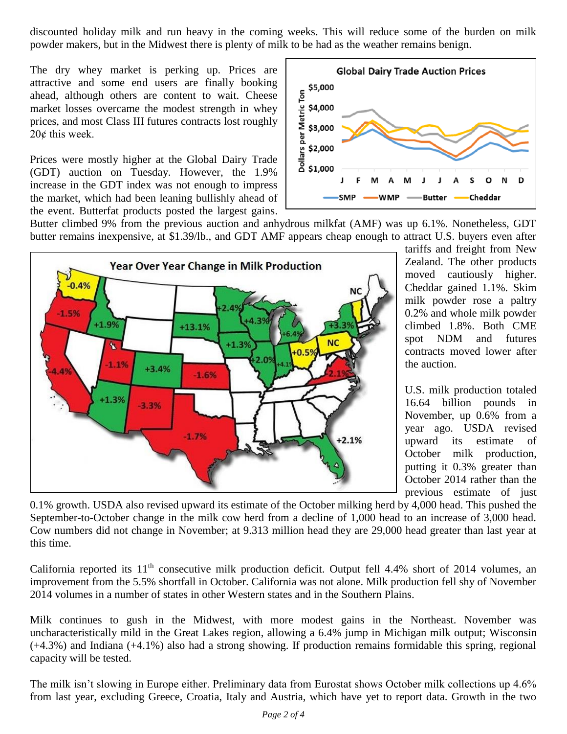discounted holiday milk and run heavy in the coming weeks. This will reduce some of the burden on milk powder makers, but in the Midwest there is plenty of milk to be had as the weather remains benign.

The dry whey market is perking up. Prices are attractive and some end users are finally booking ahead, although others are content to wait. Cheese market losses overcame the modest strength in whey prices, and most Class III futures contracts lost roughly 20¢ this week.

Prices were mostly higher at the Global Dairy Trade (GDT) auction on Tuesday. However, the 1.9% increase in the GDT index was not enough to impress the market, which had been leaning bullishly ahead of the event. Butterfat products posted the largest gains.



Butter climbed 9% from the previous auction and anhydrous milkfat (AMF) was up 6.1%. Nonetheless, GDT butter remains inexpensive, at \$1.39/lb., and GDT AMF appears cheap enough to attract U.S. buyers even after



tariffs and freight from New Zealand. The other products moved cautiously higher. Cheddar gained 1.1%. Skim milk powder rose a paltry 0.2% and whole milk powder climbed 1.8%. Both CME spot NDM and futures contracts moved lower after the auction.

U.S. milk production totaled 16.64 billion pounds in November, up 0.6% from a year ago. USDA revised upward its estimate of October milk production, putting it 0.3% greater than October 2014 rather than the previous estimate of just

0.1% growth. USDA also revised upward its estimate of the October milking herd by 4,000 head. This pushed the September-to-October change in the milk cow herd from a decline of 1,000 head to an increase of 3,000 head. Cow numbers did not change in November; at 9.313 million head they are 29,000 head greater than last year at this time.

California reported its  $11<sup>th</sup>$  consecutive milk production deficit. Output fell 4.4% short of 2014 volumes, an improvement from the 5.5% shortfall in October. California was not alone. Milk production fell shy of November 2014 volumes in a number of states in other Western states and in the Southern Plains.

Milk continues to gush in the Midwest, with more modest gains in the Northeast. November was uncharacteristically mild in the Great Lakes region, allowing a 6.4% jump in Michigan milk output; Wisconsin (+4.3%) and Indiana (+4.1%) also had a strong showing. If production remains formidable this spring, regional capacity will be tested.

The milk isn't slowing in Europe either. Preliminary data from Eurostat shows October milk collections up 4.6% from last year, excluding Greece, Croatia, Italy and Austria, which have yet to report data. Growth in the two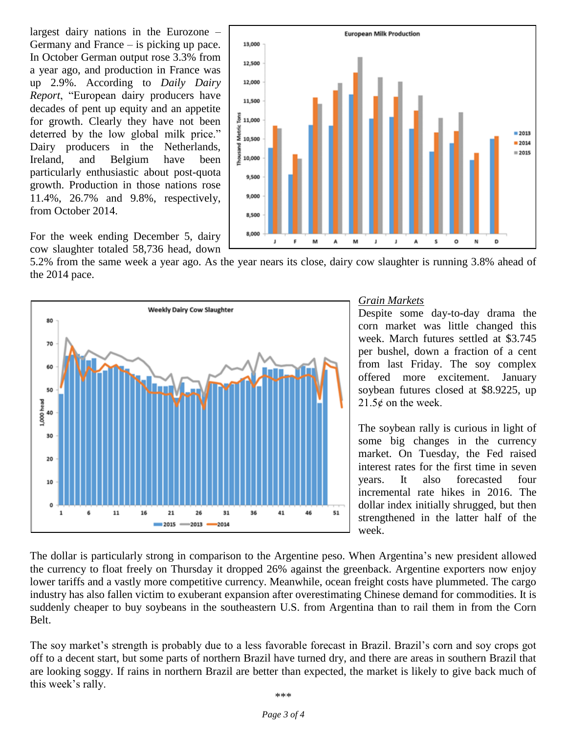largest dairy nations in the Eurozone – Germany and France – is picking up pace. In October German output rose 3.3% from a year ago, and production in France was up 2.9%. According to *Daily Dairy Report*, "European dairy producers have decades of pent up equity and an appetite for growth. Clearly they have not been deterred by the low global milk price." Dairy producers in the Netherlands, Ireland, and Belgium have been particularly enthusiastic about post-quota growth. Production in those nations rose 11.4%, 26.7% and 9.8%, respectively, from October 2014.



For the week ending December 5, dairy cow slaughter totaled 58,736 head, down

5.2% from the same week a year ago. As the year nears its close, dairy cow slaughter is running 3.8% ahead of the 2014 pace.



#### *Grain Markets*

Despite some day-to-day drama the corn market was little changed this week. March futures settled at \$3.745 per bushel, down a fraction of a cent from last Friday. The soy complex offered more excitement. January soybean futures closed at \$8.9225, up  $21.5¢$  on the week.

The soybean rally is curious in light of some big changes in the currency market. On Tuesday, the Fed raised interest rates for the first time in seven years. It also forecasted four incremental rate hikes in 2016. The dollar index initially shrugged, but then strengthened in the latter half of the week.

The dollar is particularly strong in comparison to the Argentine peso. When Argentina's new president allowed the currency to float freely on Thursday it dropped 26% against the greenback. Argentine exporters now enjoy lower tariffs and a vastly more competitive currency. Meanwhile, ocean freight costs have plummeted. The cargo industry has also fallen victim to exuberant expansion after overestimating Chinese demand for commodities. It is suddenly cheaper to buy soybeans in the southeastern U.S. from Argentina than to rail them in from the Corn Belt.

The soy market's strength is probably due to a less favorable forecast in Brazil. Brazil's corn and soy crops got off to a decent start, but some parts of northern Brazil have turned dry, and there are areas in southern Brazil that are looking soggy. If rains in northern Brazil are better than expected, the market is likely to give back much of this week's rally.